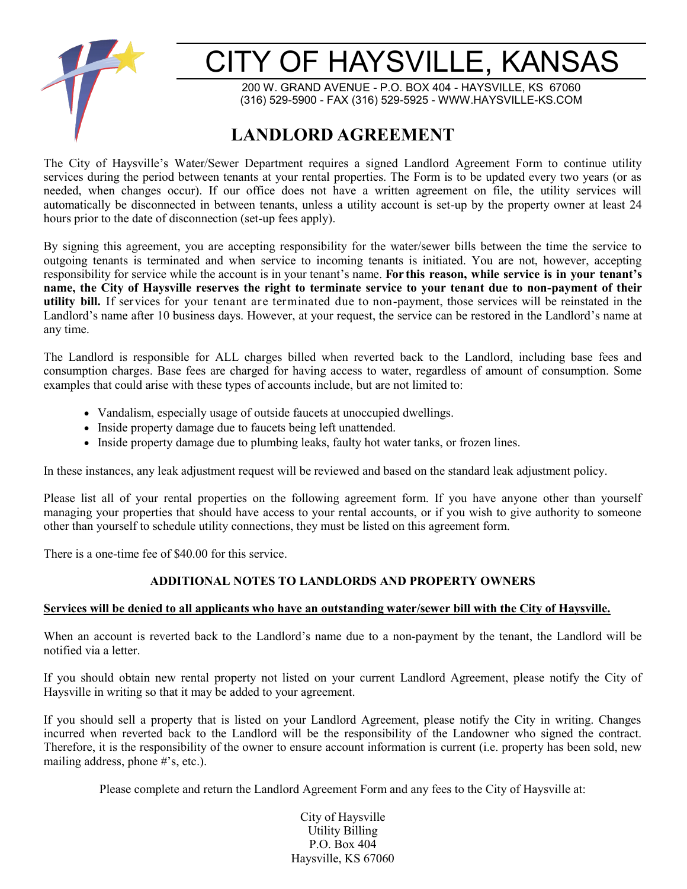

# CITY OF HAYSVILLE, KANSAS

200 W. GRAND AVENUE - P.O. BOX 404 - HAYSVILLE, KS 67060 (316) 529-5900 - FAX (316) 529-5925 - WWW.HAYSVILLE-KS.COM

## **LANDLORD AGREEMENT**

The City of Haysville's Water/Sewer Department requires a signed Landlord Agreement Form to continue utility services during the period between tenants at your rental properties. The Form is to be updated every two years (or as needed, when changes occur). If our office does not have a written agreement on file, the utility services will automatically be disconnected in between tenants, unless a utility account is set-up by the property owner at least 24 hours prior to the date of disconnection (set-up fees apply).

By signing this agreement, you are accepting responsibility for the water/sewer bills between the time the service to outgoing tenants is terminated and when service to incoming tenants is initiated. You are not, however, accepting responsibility for service while the account is in your tenant's name. **For this reason, while service is in your tenant's name, the City of Haysville reserves the right to terminate service to your tenant due to non-payment of their utility bill.** If services for your tenant are terminated due to non-payment, those services will be reinstated in the Landlord's name after 10 business days. However, at your request, the service can be restored in the Landlord's name at any time.

The Landlord is responsible for ALL charges billed when reverted back to the Landlord, including base fees and consumption charges. Base fees are charged for having access to water, regardless of amount of consumption. Some examples that could arise with these types of accounts include, but are not limited to:

- Vandalism, especially usage of outside faucets at unoccupied dwellings.
- Inside property damage due to faucets being left unattended.
- Inside property damage due to plumbing leaks, faulty hot water tanks, or frozen lines.

In these instances, any leak adjustment request will be reviewed and based on the standard leak adjustment policy.

Please list all of your rental properties on the following agreement form. If you have anyone other than yourself managing your properties that should have access to your rental accounts, or if you wish to give authority to someone other than yourself to schedule utility connections, they must be listed on this agreement form.

There is a one-time fee of \$40.00 for this service.

#### **ADDITIONAL NOTES TO LANDLORDS AND PROPERTY OWNERS**

#### **Services will be denied to all applicants who have an outstanding water/sewer bill with the City of Haysville.**

When an account is reverted back to the Landlord's name due to a non-payment by the tenant, the Landlord will be notified via a letter.

If you should obtain new rental property not listed on your current Landlord Agreement, please notify the City of Haysville in writing so that it may be added to your agreement.

If you should sell a property that is listed on your Landlord Agreement, please notify the City in writing. Changes incurred when reverted back to the Landlord will be the responsibility of the Landowner who signed the contract. Therefore, it is the responsibility of the owner to ensure account information is current (i.e. property has been sold, new mailing address, phone #'s, etc.).

Please complete and return the Landlord Agreement Form and any fees to the City of Haysville at:

City of Haysville Utility Billing P.O. Box 404 Haysville, KS 67060